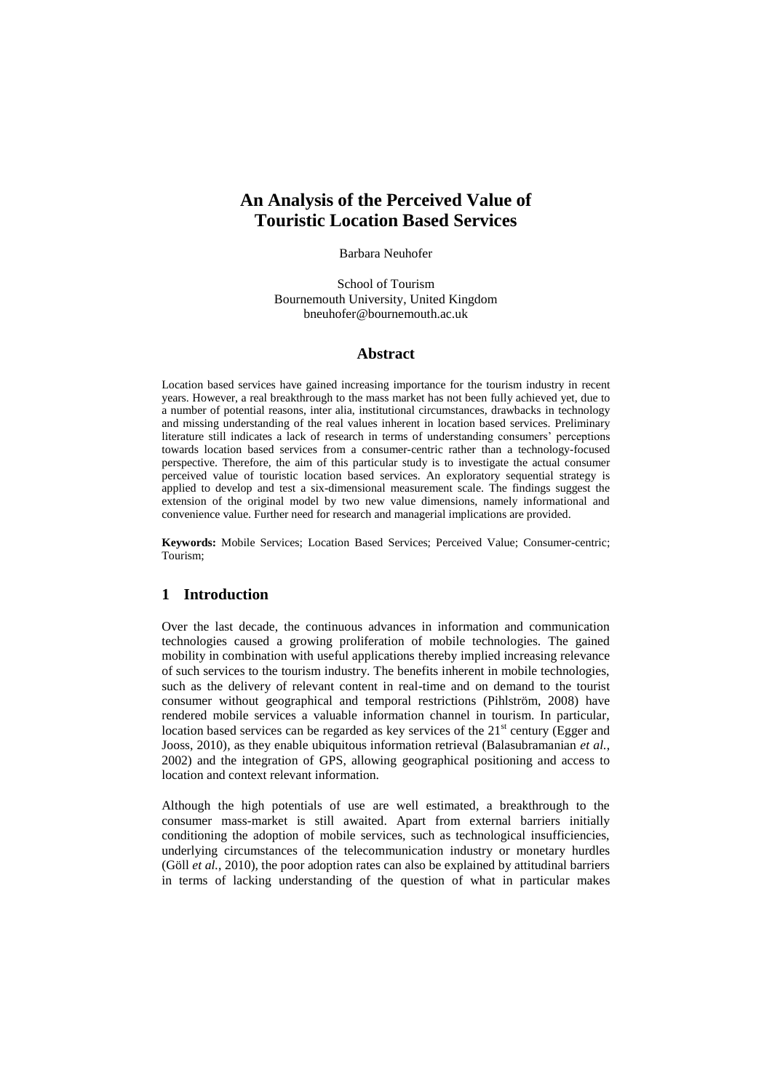# **An Analysis of the Perceived Value of Touristic Location Based Services**

Barbara Neuhofer

School of Tourism Bournemouth University, United Kingdom bneuhofer@bournemouth.ac.uk

## **Abstract**

Location based services have gained increasing importance for the tourism industry in recent years. However, a real breakthrough to the mass market has not been fully achieved yet, due to a number of potential reasons, inter alia, institutional circumstances, drawbacks in technology and missing understanding of the real values inherent in location based services. Preliminary literature still indicates a lack of research in terms of understanding consumers' perceptions towards location based services from a consumer-centric rather than a technology-focused perspective. Therefore, the aim of this particular study is to investigate the actual consumer perceived value of touristic location based services. An exploratory sequential strategy is applied to develop and test a six-dimensional measurement scale. The findings suggest the extension of the original model by two new value dimensions, namely informational and convenience value. Further need for research and managerial implications are provided.

**Keywords:** Mobile Services; Location Based Services; Perceived Value; Consumer-centric; Tourism;

# **1 Introduction**

Over the last decade, the continuous advances in information and communication technologies caused a growing proliferation of mobile technologies. The gained mobility in combination with useful applications thereby implied increasing relevance of such services to the tourism industry. The benefits inherent in mobile technologies, such as the delivery of relevant content in real-time and on demand to the tourist consumer without geographical and temporal restrictions (Pihlström, 2008) have rendered mobile services a valuable information channel in tourism. In particular, location based services can be regarded as key services of the  $21<sup>st</sup>$  century (Egger and Jooss, 2010), as they enable ubiquitous information retrieval (Balasubramanian *et al.*, 2002) and the integration of GPS, allowing geographical positioning and access to location and context relevant information.

Although the high potentials of use are well estimated, a breakthrough to the consumer mass-market is still awaited. Apart from external barriers initially conditioning the adoption of mobile services, such as technological insufficiencies, underlying circumstances of the telecommunication industry or monetary hurdles (Göll *et al.*, 2010), the poor adoption rates can also be explained by attitudinal barriers in terms of lacking understanding of the question of what in particular makes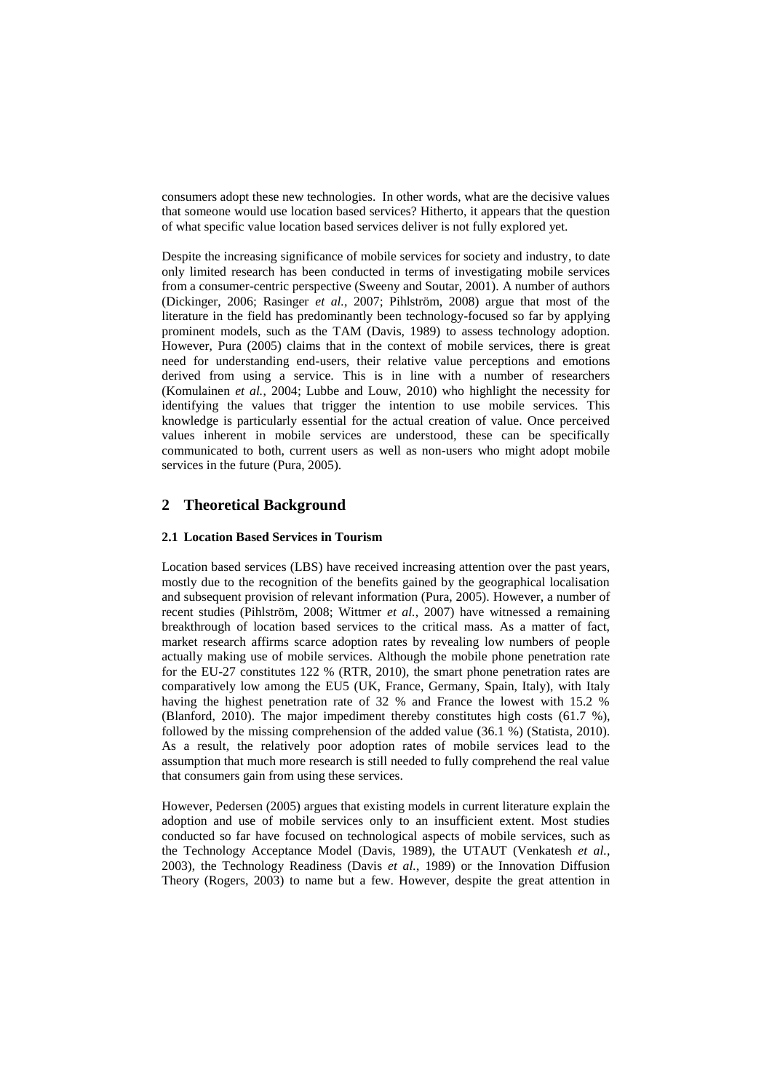consumers adopt these new technologies. In other words, what are the decisive values that someone would use location based services? Hitherto, it appears that the question of what specific value location based services deliver is not fully explored yet.

Despite the increasing significance of mobile services for society and industry, to date only limited research has been conducted in terms of investigating mobile services from a consumer-centric perspective (Sweeny and Soutar, 2001). A number of authors (Dickinger, 2006; Rasinger *et al.*, 2007; Pihlström, 2008) argue that most of the literature in the field has predominantly been technology-focused so far by applying prominent models, such as the TAM (Davis, 1989) to assess technology adoption. However, Pura (2005) claims that in the context of mobile services, there is great need for understanding end-users, their relative value perceptions and emotions derived from using a service. This is in line with a number of researchers (Komulainen *et al.*, 2004; Lubbe and Louw, 2010) who highlight the necessity for identifying the values that trigger the intention to use mobile services. This knowledge is particularly essential for the actual creation of value. Once perceived values inherent in mobile services are understood, these can be specifically communicated to both, current users as well as non-users who might adopt mobile services in the future (Pura, 2005).

## **2 Theoretical Background**

#### **2.1 Location Based Services in Tourism**

Location based services (LBS) have received increasing attention over the past years, mostly due to the recognition of the benefits gained by the geographical localisation and subsequent provision of relevant information (Pura, 2005). However, a number of recent studies (Pihlström, 2008; Wittmer *et al.*, 2007) have witnessed a remaining breakthrough of location based services to the critical mass. As a matter of fact, market research affirms scarce adoption rates by revealing low numbers of people actually making use of mobile services. Although the mobile phone penetration rate for the EU-27 constitutes 122 % (RTR, 2010), the smart phone penetration rates are comparatively low among the EU5 (UK, France, Germany, Spain, Italy), with Italy having the highest penetration rate of 32 % and France the lowest with 15.2 % (Blanford, 2010). The major impediment thereby constitutes high costs (61.7 %), followed by the missing comprehension of the added value (36.1 %) (Statista, 2010). As a result, the relatively poor adoption rates of mobile services lead to the assumption that much more research is still needed to fully comprehend the real value that consumers gain from using these services.

However, Pedersen (2005) argues that existing models in current literature explain the adoption and use of mobile services only to an insufficient extent. Most studies conducted so far have focused on technological aspects of mobile services, such as the Technology Acceptance Model (Davis, 1989), the UTAUT (Venkatesh *et al.*, 2003), the Technology Readiness (Davis *et al.*, 1989) or the Innovation Diffusion Theory (Rogers, 2003) to name but a few. However, despite the great attention in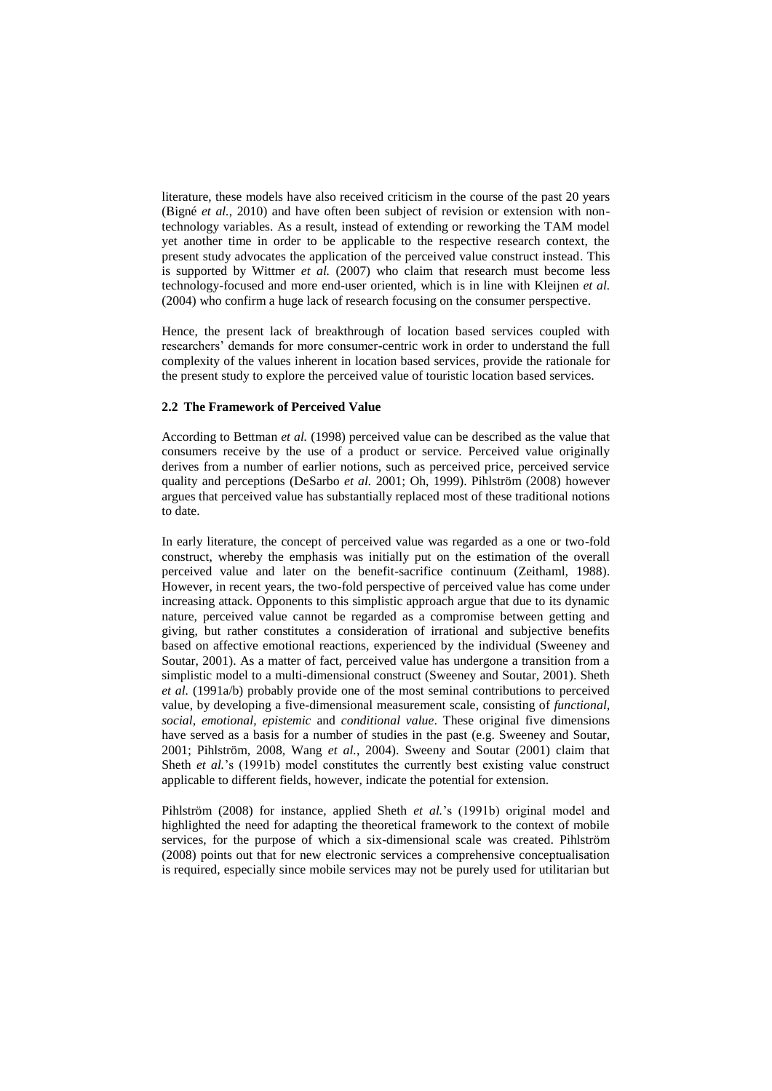literature, these models have also received criticism in the course of the past 20 years (Bigné *et al.*, 2010) and have often been subject of revision or extension with nontechnology variables. As a result, instead of extending or reworking the TAM model yet another time in order to be applicable to the respective research context, the present study advocates the application of the perceived value construct instead. This is supported by Wittmer *et al.* (2007) who claim that research must become less technology-focused and more end-user oriented, which is in line with Kleijnen *et al.* (2004) who confirm a huge lack of research focusing on the consumer perspective.

Hence, the present lack of breakthrough of location based services coupled with researchers' demands for more consumer-centric work in order to understand the full complexity of the values inherent in location based services, provide the rationale for the present study to explore the perceived value of touristic location based services.

#### **2.2 The Framework of Perceived Value**

According to Bettman *et al.* (1998) perceived value can be described as the value that consumers receive by the use of a product or service. Perceived value originally derives from a number of earlier notions, such as perceived price, perceived service quality and perceptions (DeSarbo *et al.* 2001; Oh, 1999). Pihlström (2008) however argues that perceived value has substantially replaced most of these traditional notions to date.

In early literature, the concept of perceived value was regarded as a one or two-fold construct, whereby the emphasis was initially put on the estimation of the overall perceived value and later on the benefit-sacrifice continuum (Zeithaml, 1988). However, in recent years, the two-fold perspective of perceived value has come under increasing attack. Opponents to this simplistic approach argue that due to its dynamic nature, perceived value cannot be regarded as a compromise between getting and giving, but rather constitutes a consideration of irrational and subjective benefits based on affective emotional reactions, experienced by the individual (Sweeney and Soutar, 2001). As a matter of fact, perceived value has undergone a transition from a simplistic model to a multi-dimensional construct (Sweeney and Soutar, 2001). Sheth *et al.* (1991a/b) probably provide one of the most seminal contributions to perceived value, by developing a five-dimensional measurement scale, consisting of *functional, social, emotional, epistemic* and *conditional value*. These original five dimensions have served as a basis for a number of studies in the past (e.g. Sweeney and Soutar, 2001; Pihlström, 2008, Wang *et al.*, 2004). Sweeny and Soutar (2001) claim that Sheth *et al.*'s (1991b) model constitutes the currently best existing value construct applicable to different fields, however, indicate the potential for extension.

Pihlström (2008) for instance, applied Sheth *et al.*'s (1991b) original model and highlighted the need for adapting the theoretical framework to the context of mobile services, for the purpose of which a six-dimensional scale was created. Pihlström (2008) points out that for new electronic services a comprehensive conceptualisation is required, especially since mobile services may not be purely used for utilitarian but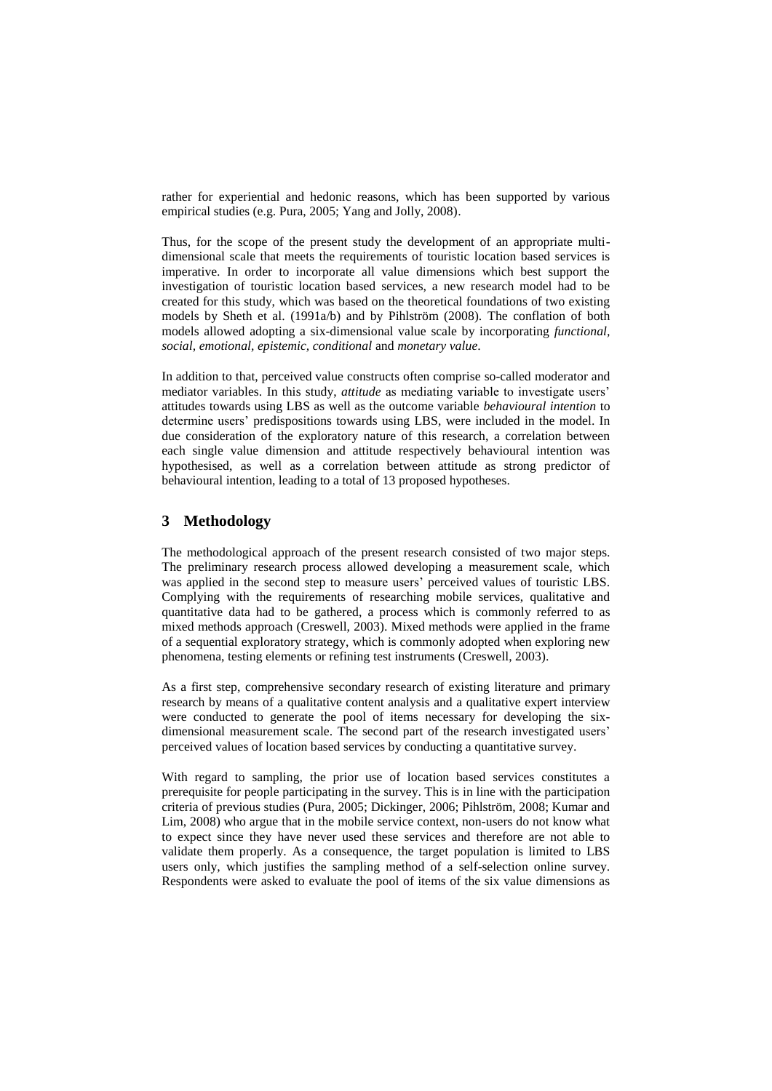rather for experiential and hedonic reasons, which has been supported by various empirical studies (e.g. Pura, 2005; Yang and Jolly, 2008).

Thus, for the scope of the present study the development of an appropriate multidimensional scale that meets the requirements of touristic location based services is imperative. In order to incorporate all value dimensions which best support the investigation of touristic location based services, a new research model had to be created for this study, which was based on the theoretical foundations of two existing models by Sheth et al. (1991a/b) and by Pihlström (2008). The conflation of both models allowed adopting a six-dimensional value scale by incorporating *functional, social, emotional, epistemic, conditional* and *monetary value*.

In addition to that, perceived value constructs often comprise so-called moderator and mediator variables. In this study, *attitude* as mediating variable to investigate users' attitudes towards using LBS as well as the outcome variable *behavioural intention* to determine users' predispositions towards using LBS, were included in the model. In due consideration of the exploratory nature of this research, a correlation between each single value dimension and attitude respectively behavioural intention was hypothesised, as well as a correlation between attitude as strong predictor of behavioural intention, leading to a total of 13 proposed hypotheses.

# **3 Methodology**

The methodological approach of the present research consisted of two major steps. The preliminary research process allowed developing a measurement scale, which was applied in the second step to measure users' perceived values of touristic LBS. Complying with the requirements of researching mobile services, qualitative and quantitative data had to be gathered, a process which is commonly referred to as mixed methods approach (Creswell, 2003). Mixed methods were applied in the frame of a sequential exploratory strategy, which is commonly adopted when exploring new phenomena, testing elements or refining test instruments (Creswell, 2003).

As a first step, comprehensive secondary research of existing literature and primary research by means of a qualitative content analysis and a qualitative expert interview were conducted to generate the pool of items necessary for developing the sixdimensional measurement scale. The second part of the research investigated users' perceived values of location based services by conducting a quantitative survey.

With regard to sampling, the prior use of location based services constitutes a prerequisite for people participating in the survey. This is in line with the participation criteria of previous studies (Pura, 2005; Dickinger, 2006; Pihlström, 2008; Kumar and Lim, 2008) who argue that in the mobile service context, non-users do not know what to expect since they have never used these services and therefore are not able to validate them properly. As a consequence, the target population is limited to LBS users only, which justifies the sampling method of a self-selection online survey. Respondents were asked to evaluate the pool of items of the six value dimensions as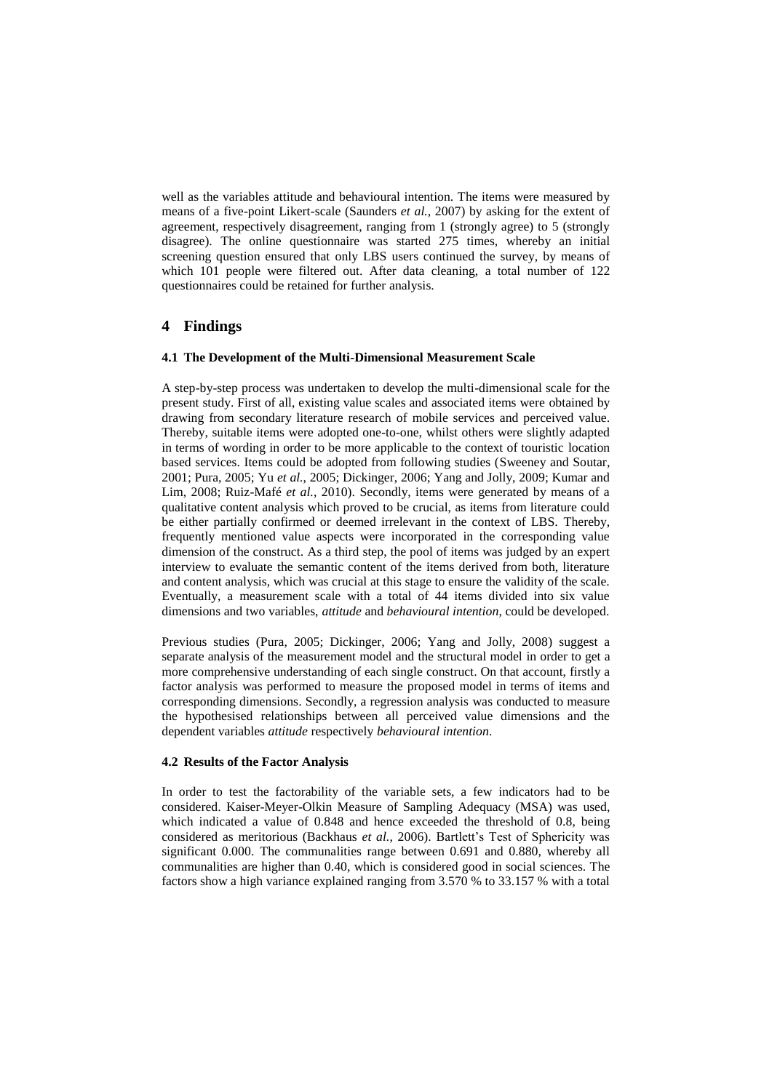well as the variables attitude and behavioural intention. The items were measured by means of a five-point Likert-scale (Saunders *et al.*, 2007) by asking for the extent of agreement, respectively disagreement, ranging from 1 (strongly agree) to 5 (strongly disagree). The online questionnaire was started 275 times, whereby an initial screening question ensured that only LBS users continued the survey, by means of which 101 people were filtered out. After data cleaning, a total number of 122 questionnaires could be retained for further analysis.

## **4 Findings**

#### **4.1 The Development of the Multi-Dimensional Measurement Scale**

A step-by-step process was undertaken to develop the multi-dimensional scale for the present study. First of all, existing value scales and associated items were obtained by drawing from secondary literature research of mobile services and perceived value. Thereby, suitable items were adopted one-to-one, whilst others were slightly adapted in terms of wording in order to be more applicable to the context of touristic location based services. Items could be adopted from following studies (Sweeney and Soutar, 2001; Pura, 2005; Yu *et al.*, 2005; Dickinger, 2006; Yang and Jolly, 2009; Kumar and Lim, 2008; Ruiz-Mafé *et al.*, 2010). Secondly, items were generated by means of a qualitative content analysis which proved to be crucial, as items from literature could be either partially confirmed or deemed irrelevant in the context of LBS. Thereby, frequently mentioned value aspects were incorporated in the corresponding value dimension of the construct. As a third step, the pool of items was judged by an expert interview to evaluate the semantic content of the items derived from both, literature and content analysis, which was crucial at this stage to ensure the validity of the scale. Eventually, a measurement scale with a total of 44 items divided into six value dimensions and two variables, *attitude* and *behavioural intention*, could be developed.

Previous studies (Pura, 2005; Dickinger, 2006; Yang and Jolly, 2008) suggest a separate analysis of the measurement model and the structural model in order to get a more comprehensive understanding of each single construct. On that account, firstly a factor analysis was performed to measure the proposed model in terms of items and corresponding dimensions. Secondly, a regression analysis was conducted to measure the hypothesised relationships between all perceived value dimensions and the dependent variables *attitude* respectively *behavioural intention*.

#### **4.2 Results of the Factor Analysis**

In order to test the factorability of the variable sets, a few indicators had to be considered. Kaiser-Meyer-Olkin Measure of Sampling Adequacy (MSA) was used, which indicated a value of 0.848 and hence exceeded the threshold of 0.8, being considered as meritorious (Backhaus *et al.*, 2006). Bartlett's Test of Sphericity was significant 0.000. The communalities range between 0.691 and 0.880, whereby all communalities are higher than 0.40, which is considered good in social sciences. The factors show a high variance explained ranging from 3.570 % to 33.157 % with a total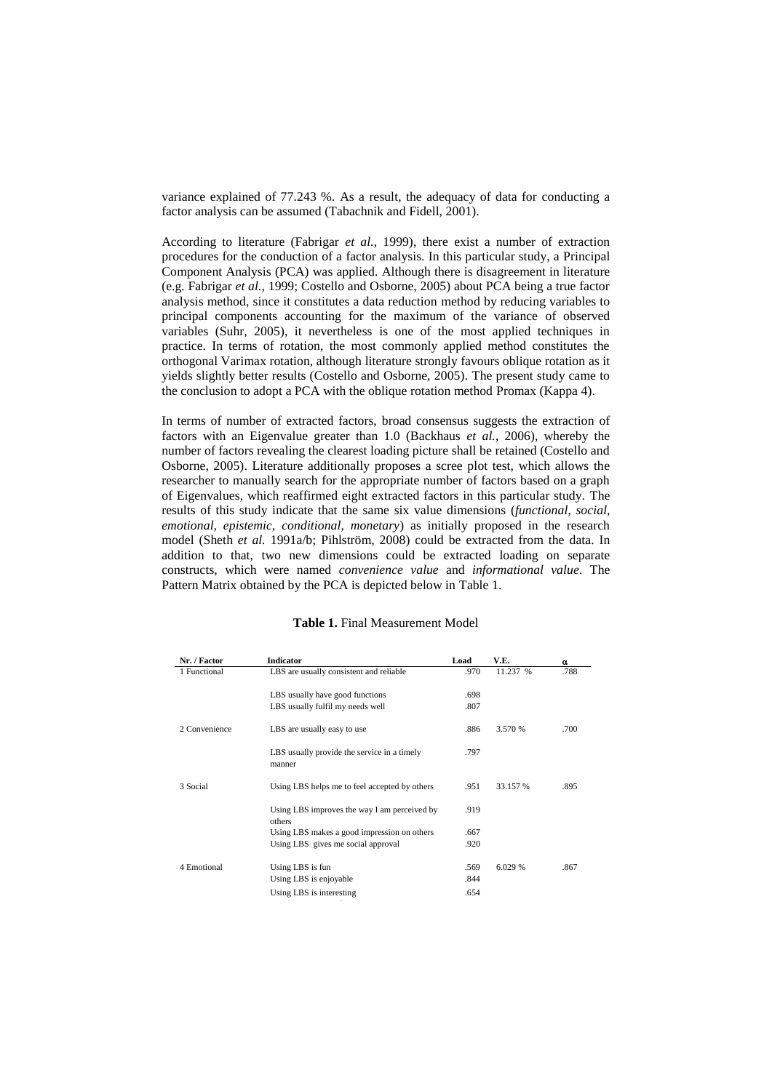variance explained of 77.243 %. As a result, the adequacy of data for conducting a factor analysis can be assumed (Tabachnik and Fidell, 2001).

According to literature (Fabrigar *et al.*, 1999), there exist a number of extraction procedures for the conduction of a factor analysis. In this particular study, a Principal Component Analysis (PCA) was applied. Although there is disagreement in literature (e.g. Fabrigar *et al.*, 1999; Costello and Osborne, 2005) about PCA being a true factor analysis method, since it constitutes a data reduction method by reducing variables to principal components accounting for the maximum of the variance of observed variables (Suhr, 2005), it nevertheless is one of the most applied techniques in practice. In terms of rotation, the most commonly applied method constitutes the orthogonal Varimax rotation, although literature strongly favours oblique rotation as it yields slightly better results (Costello and Osborne, 2005). The present study came to the conclusion to adopt a PCA with the oblique rotation method Promax (Kappa 4).

In terms of number of extracted factors, broad consensus suggests the extraction of factors with an Eigenvalue greater than 1.0 (Backhaus *et al.*, 2006), whereby the number of factors revealing the clearest loading picture shall be retained (Costello and Osborne, 2005). Literature additionally proposes a scree plot test, which allows the researcher to manually search for the appropriate number of factors based on a graph of Eigenvalues, which reaffirmed eight extracted factors in this particular study. The results of this study indicate that the same six value dimensions (*functional, social, emotional, epistemic, conditional, monetary*) as initially proposed in the research model (Sheth *et al.* 1991a/b; Pihlström, 2008) could be extracted from the data. In addition to that, two new dimensions could be extracted loading on separate constructs, which were named *convenience value* and *informational value*. The Pattern Matrix obtained by the PCA is depicted below in Table 1.

| Nr. / Factor  | <b>Indicator</b>                                       | Load | V.E.     | $\alpha$ |
|---------------|--------------------------------------------------------|------|----------|----------|
| 1 Functional  | LBS are usually consistent and reliable                | .970 | 11.237 % | .788     |
|               | LBS usually have good functions                        | .698 |          |          |
|               | LBS usually fulfil my needs well                       | .807 |          |          |
| 2 Convenience | LBS are usually easy to use                            | .886 | 3.570 %  | .700     |
|               | LBS usually provide the service in a timely<br>manner  | .797 |          |          |
| 3 Social      | Using LBS helps me to feel accepted by others          | .951 | 33.157 % | .895     |
|               | Using LBS improves the way I am perceived by<br>others | .919 |          |          |
|               | Using LBS makes a good impression on others            | .667 |          |          |
|               | Using LBS gives me social approval                     | .920 |          |          |
| 4 Emotional   | Using LBS is fun                                       | .569 | 6.029 %  | .867     |
|               | Using LBS is enjoyable                                 | .844 |          |          |
|               | Using LBS is interesting                               | .654 |          |          |

### **Table 1.** Final Measurement Model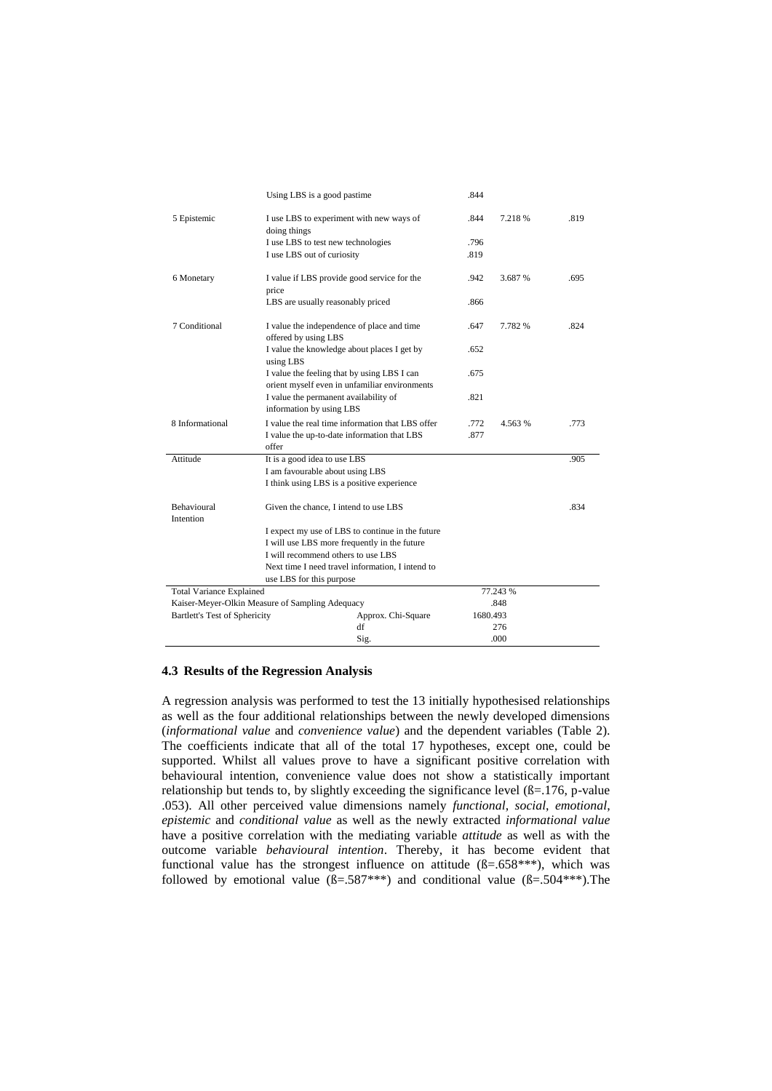|                                                 | Using LBS is a good pastime.                                                                 |                                                  | .844         |         |      |
|-------------------------------------------------|----------------------------------------------------------------------------------------------|--------------------------------------------------|--------------|---------|------|
| 5 Epistemic                                     | I use LBS to experiment with new ways of<br>doing things                                     |                                                  | .844         | 7.218 % | .819 |
|                                                 | I use LBS to test new technologies                                                           |                                                  | .796         |         |      |
|                                                 | I use LBS out of curiosity                                                                   |                                                  | .819         |         |      |
| 6 Monetary                                      | I value if LBS provide good service for the<br>price                                         |                                                  | .942         | .695    |      |
|                                                 | LBS are usually reasonably priced                                                            |                                                  | .866         |         |      |
| 7 Conditional                                   | I value the independence of place and time<br>offered by using LBS                           |                                                  | .647         | 7.782 % | .824 |
|                                                 | I value the knowledge about places I get by<br>using LBS                                     |                                                  | .652         |         |      |
|                                                 | I value the feeling that by using LBS I can<br>orient myself even in unfamiliar environments |                                                  | .675         |         |      |
|                                                 | I value the permanent availability of<br>information by using LBS                            |                                                  | .821         |         |      |
| 8 Informational                                 | I value the up-to-date information that LBS<br>offer                                         | I value the real time information that LBS offer | .772<br>.877 | 4.563 % | .773 |
| Attitude                                        | It is a good idea to use LBS                                                                 |                                                  |              |         | .905 |
|                                                 | I am favourable about using LBS                                                              |                                                  |              |         |      |
|                                                 | I think using LBS is a positive experience                                                   |                                                  |              |         |      |
| <b>Behavioural</b><br>Intention                 | Given the chance, I intend to use LBS                                                        |                                                  |              |         | .834 |
|                                                 |                                                                                              | I expect my use of LBS to continue in the future |              |         |      |
|                                                 | I will use LBS more frequently in the future                                                 |                                                  |              |         |      |
|                                                 | I will recommend others to use LBS                                                           |                                                  |              |         |      |
|                                                 | Next time I need travel information, I intend to                                             |                                                  |              |         |      |
|                                                 | use LBS for this purpose                                                                     |                                                  |              |         |      |
| <b>Total Variance Explained</b>                 |                                                                                              |                                                  | 77.243 %     |         |      |
| Kaiser-Meyer-Olkin Measure of Sampling Adequacy |                                                                                              |                                                  | .848         |         |      |
| <b>Bartlett's Test of Sphericity</b>            |                                                                                              | Approx. Chi-Square                               | 1680.493     |         |      |
|                                                 |                                                                                              | df                                               |              | 276     |      |
|                                                 |                                                                                              | Sig.                                             |              | .000    |      |

### **4.3 Results of the Regression Analysis**

A regression analysis was performed to test the 13 initially hypothesised relationships as well as the four additional relationships between the newly developed dimensions (*informational value* and *convenience value*) and the dependent variables [\(Table 2\)](#page-7-0). The coefficients indicate that all of the total 17 hypotheses, except one, could be supported. Whilst all values prove to have a significant positive correlation with behavioural intention, convenience value does not show a statistically important relationship but tends to, by slightly exceeding the significance level  $(\beta = 176, p-value$ .053). All other perceived value dimensions namely *functional*, *social*, *emotional*, *epistemic* and *conditional value* as well as the newly extracted *informational value* have a positive correlation with the mediating variable *attitude* as well as with the outcome variable *behavioural intention*. Thereby, it has become evident that functional value has the strongest influence on attitude  $(B=.658***)$ , which was followed by emotional value  $(B=.587***)$  and conditional value  $(B=.504***)$ . The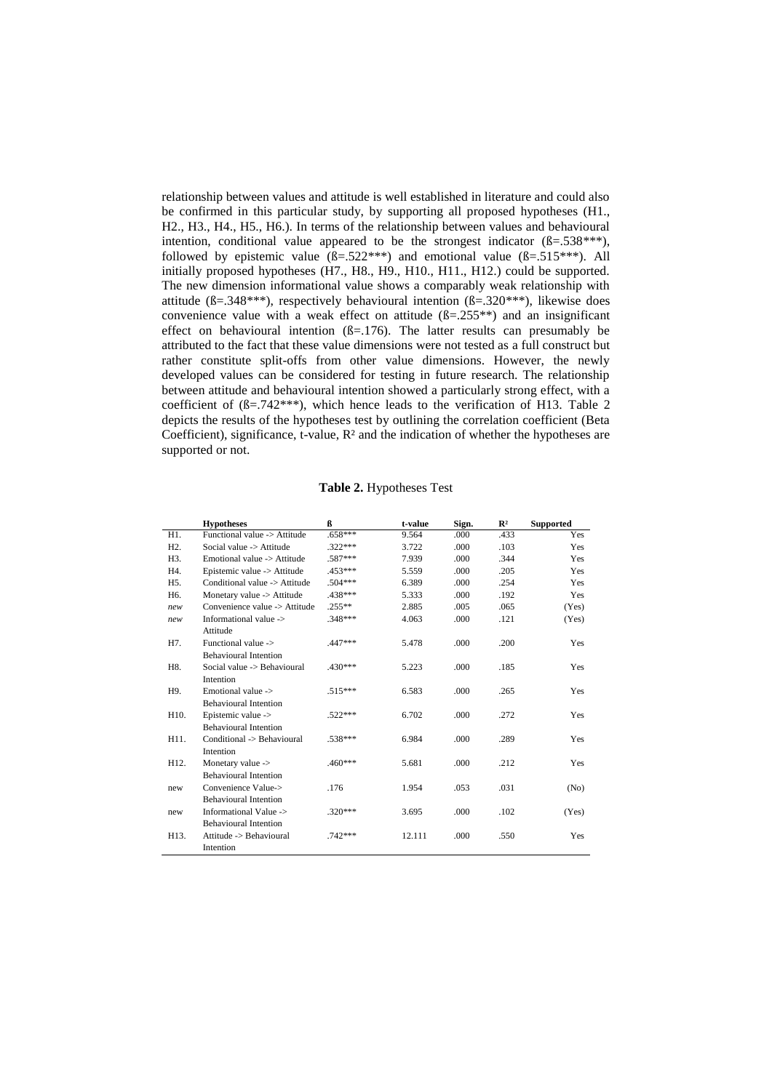relationship between values and attitude is well established in literature and could also be confirmed in this particular study, by supporting all proposed hypotheses (H1., H2., H3., H4., H5., H6.). In terms of the relationship between values and behavioural intention, conditional value appeared to be the strongest indicator  $(B=.538***)$ , followed by epistemic value  $(B=.522***)$  and emotional value  $(B=.515***)$ . All initially proposed hypotheses (H7., H8., H9., H10., H11., H12.) could be supported. The new dimension informational value shows a comparably weak relationship with attitude ( $\beta = .348***$ ), respectively behavioural intention ( $\beta = .320***$ ), likewise does convenience value with a weak effect on attitude  $(B=.255**)$  and an insignificant effect on behavioural intention  $(B=176)$ . The latter results can presumably be attributed to the fact that these value dimensions were not tested as a full construct but rather constitute split-offs from other value dimensions. However, the newly developed values can be considered for testing in future research. The relationship between attitude and behavioural intention showed a particularly strong effect, with a coefficient of ( $\beta$ =.742\*\*\*), which hence leads to the verification of H13. [Table 2](#page-7-0) depicts the results of the hypotheses test by outlining the correlation coefficient (Beta Coefficient), significance, t-value,  $R<sup>2</sup>$  and the indication of whether the hypotheses are supported or not.

### **Table 2.** Hypotheses Test

<span id="page-7-0"></span>

|                  | <b>Hypotheses</b>             | ß         | t-value | Sign. | $\mathbb{R}^2$ | <b>Supported</b> |
|------------------|-------------------------------|-----------|---------|-------|----------------|------------------|
| H1.              | Functional value -> Attitude  | $.658***$ | 9.564   | .000  | .433           | Yes              |
| H <sub>2</sub> . | Social value -> Attitude      | $.322***$ | 3.722   | .000  | .103           | Yes              |
| H3.              | Emotional value -> Attitude   | .587***   | 7.939   | .000  | .344           | Yes              |
| H4.              | Epistemic value -> Attitude   | .453***   | 5.559   | .000  | .205           | Yes              |
| H <sub>5</sub> . | Conditional value -> Attitude | $.504***$ | 6.389   | .000  | .254           | Yes              |
| H <sub>6</sub> . | Monetary value -> Attitude    | .438***   | 5.333   | .000  | .192           | Yes              |
| new              | Convenience value -> Attitude | $.255**$  | 2.885   | .005  | .065           | (Yes)            |
| new              | Informational value ->        | $.348***$ | 4.063   | .000  | .121           | (Yes)            |
|                  | Attitude                      |           |         |       |                |                  |
| H7.              | Functional value ->           | .447***   | 5.478   | .000  | .200           | Yes              |
|                  | <b>Behavioural Intention</b>  |           |         |       |                |                  |
| H8.              | Social value -> Behavioural   | .430***   | 5.223   | .000  | .185           | Yes              |
|                  | Intention                     |           |         |       |                |                  |
| H9.              | Emotional value ->            | $.515***$ | 6.583   | .000  | .265           | Yes              |
|                  | <b>Behavioural Intention</b>  |           |         |       |                |                  |
| H10.             | Epistemic value ->            | $.522***$ | 6.702   | .000  | .272           | Yes              |
|                  | <b>Behavioural Intention</b>  |           |         |       |                |                  |
| H11.             | Conditional -> Behavioural    | $.538***$ | 6.984   | .000  | .289           | Yes              |
|                  | Intention                     |           |         |       |                |                  |
| H12.             | Monetary value ->             | $.460***$ | 5.681   | .000  | .212           | Yes              |
|                  | <b>Behavioural Intention</b>  |           |         |       |                |                  |
| new              | Convenience Value->           | .176      | 1.954   | .053  | .031           | (No)             |
|                  | <b>Behavioural Intention</b>  |           |         |       |                |                  |
| new              | Informational Value ->        | $.320***$ | 3.695   | .000  | .102           | (Yes)            |
|                  | <b>Behavioural Intention</b>  |           |         |       |                |                  |
| H13.             | Attitude -> Behavioural       | $.742***$ | 12.111  | .000  | .550           | Yes              |
|                  | Intention                     |           |         |       |                |                  |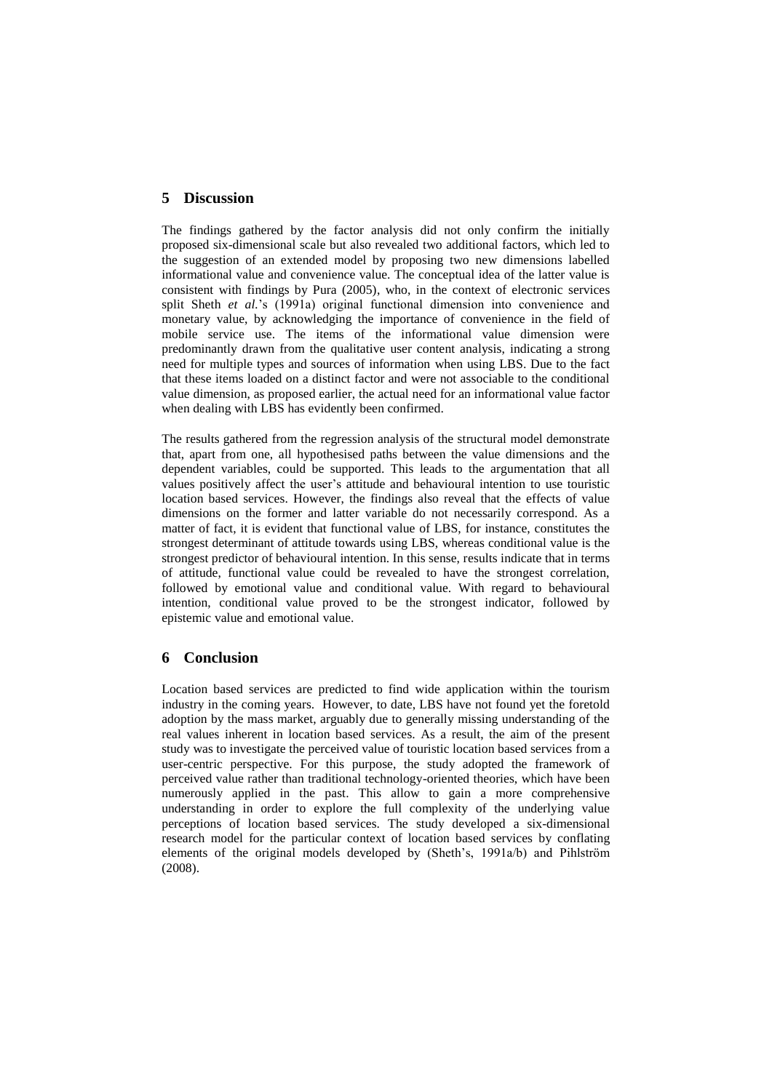### **5 Discussion**

The findings gathered by the factor analysis did not only confirm the initially proposed six-dimensional scale but also revealed two additional factors, which led to the suggestion of an extended model by proposing two new dimensions labelled informational value and convenience value. The conceptual idea of the latter value is consistent with findings by Pura (2005), who, in the context of electronic services split Sheth *et al.*'s (1991a) original functional dimension into convenience and monetary value, by acknowledging the importance of convenience in the field of mobile service use. The items of the informational value dimension were predominantly drawn from the qualitative user content analysis, indicating a strong need for multiple types and sources of information when using LBS. Due to the fact that these items loaded on a distinct factor and were not associable to the conditional value dimension, as proposed earlier, the actual need for an informational value factor when dealing with LBS has evidently been confirmed.

The results gathered from the regression analysis of the structural model demonstrate that, apart from one, all hypothesised paths between the value dimensions and the dependent variables, could be supported. This leads to the argumentation that all values positively affect the user's attitude and behavioural intention to use touristic location based services. However, the findings also reveal that the effects of value dimensions on the former and latter variable do not necessarily correspond. As a matter of fact, it is evident that functional value of LBS, for instance, constitutes the strongest determinant of attitude towards using LBS, whereas conditional value is the strongest predictor of behavioural intention. In this sense, results indicate that in terms of attitude, functional value could be revealed to have the strongest correlation, followed by emotional value and conditional value. With regard to behavioural intention, conditional value proved to be the strongest indicator, followed by epistemic value and emotional value.

# **6 Conclusion**

Location based services are predicted to find wide application within the tourism industry in the coming years. However, to date, LBS have not found yet the foretold adoption by the mass market, arguably due to generally missing understanding of the real values inherent in location based services. As a result, the aim of the present study was to investigate the perceived value of touristic location based services from a user-centric perspective. For this purpose, the study adopted the framework of perceived value rather than traditional technology-oriented theories, which have been numerously applied in the past. This allow to gain a more comprehensive understanding in order to explore the full complexity of the underlying value perceptions of location based services. The study developed a six-dimensional research model for the particular context of location based services by conflating elements of the original models developed by (Sheth's, 1991a/b) and Pihlström (2008).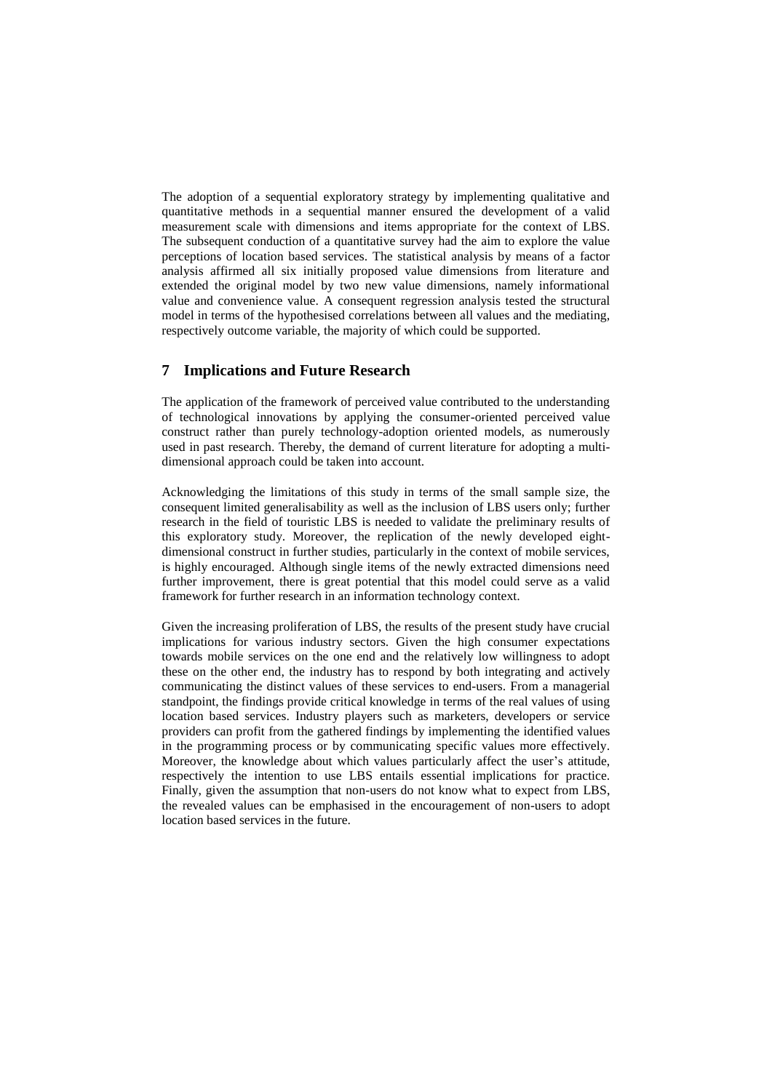The adoption of a sequential exploratory strategy by implementing qualitative and quantitative methods in a sequential manner ensured the development of a valid measurement scale with dimensions and items appropriate for the context of LBS. The subsequent conduction of a quantitative survey had the aim to explore the value perceptions of location based services. The statistical analysis by means of a factor analysis affirmed all six initially proposed value dimensions from literature and extended the original model by two new value dimensions, namely informational value and convenience value. A consequent regression analysis tested the structural model in terms of the hypothesised correlations between all values and the mediating, respectively outcome variable, the majority of which could be supported.

# **7 Implications and Future Research**

The application of the framework of perceived value contributed to the understanding of technological innovations by applying the consumer-oriented perceived value construct rather than purely technology-adoption oriented models, as numerously used in past research. Thereby, the demand of current literature for adopting a multidimensional approach could be taken into account.

Acknowledging the limitations of this study in terms of the small sample size, the consequent limited generalisability as well as the inclusion of LBS users only; further research in the field of touristic LBS is needed to validate the preliminary results of this exploratory study. Moreover, the replication of the newly developed eightdimensional construct in further studies, particularly in the context of mobile services, is highly encouraged. Although single items of the newly extracted dimensions need further improvement, there is great potential that this model could serve as a valid framework for further research in an information technology context.

Given the increasing proliferation of LBS, the results of the present study have crucial implications for various industry sectors. Given the high consumer expectations towards mobile services on the one end and the relatively low willingness to adopt these on the other end, the industry has to respond by both integrating and actively communicating the distinct values of these services to end-users. From a managerial standpoint, the findings provide critical knowledge in terms of the real values of using location based services. Industry players such as marketers, developers or service providers can profit from the gathered findings by implementing the identified values in the programming process or by communicating specific values more effectively. Moreover, the knowledge about which values particularly affect the user's attitude, respectively the intention to use LBS entails essential implications for practice. Finally, given the assumption that non-users do not know what to expect from LBS, the revealed values can be emphasised in the encouragement of non-users to adopt location based services in the future.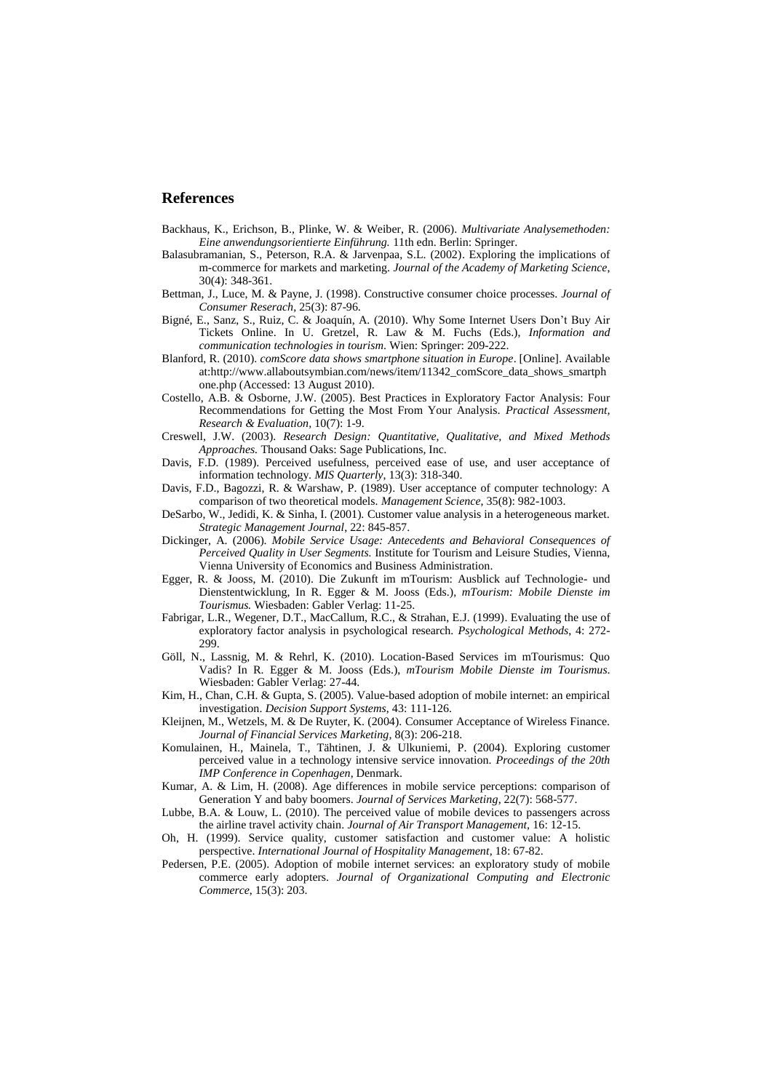#### **References**

- Backhaus, K., Erichson, B., Plinke, W. & Weiber, R. (2006). *Multivariate Analysemethoden: Eine anwendungsorientierte Einführung.* 11th edn. Berlin: Springer.
- Balasubramanian, S., Peterson, R.A. & Jarvenpaa, S.L. (2002). Exploring the implications of m-commerce for markets and marketing. *Journal of the Academy of Marketing Science*, 30(4): 348-361.
- Bettman, J., Luce, M. & Payne, J. (1998). Constructive consumer choice processes. *Journal of Consumer Reserach*, 25(3): 87-96.
- Bigné, E., Sanz, S., Ruiz, C. & Joaquín, A. (2010). Why Some Internet Users Don't Buy Air Tickets Online. In U. Gretzel, R. Law & M. Fuchs (Eds.), *Information and communication technologies in tourism*. Wien: Springer: 209-222.
- Blanford, R. (2010). *comScore data shows smartphone situation in Europe*. [Online]. Available at:http://www.allaboutsymbian.com/news/item/11342\_comScore\_data\_shows\_smartph one.php (Accessed: 13 August 2010).
- Costello, A.B. & Osborne, J.W. (2005). Best Practices in Exploratory Factor Analysis: Four Recommendations for Getting the Most From Your Analysis. *Practical Assessment, Research & Evaluation,* 10(7): 1-9.
- Creswell, J.W. (2003). *Research Design: Quantitative, Qualitative, and Mixed Methods Approaches.* Thousand Oaks: Sage Publications, Inc.
- Davis, F.D. (1989). Perceived usefulness, perceived ease of use, and user acceptance of information technology. *MIS Quarterly*, 13(3): 318-340.
- Davis, F.D., Bagozzi, R. & Warshaw, P. (1989). User acceptance of computer technology: A comparison of two theoretical models. *Management Science*, 35(8): 982-1003.
- DeSarbo, W., Jedidi, K. & Sinha, I. (2001). Customer value analysis in a heterogeneous market. *Strategic Management Journal*, 22: 845-857.
- [Dickinger, A.](http://www.modul.ac.at/biblio/author/Dickinger) (2006). *[Mobile Service Usage: Antecedents and Behavioral Consequences of](http://www.modul.ac.at/node/428)  [Perceived Quality in User Segments.](http://www.modul.ac.at/node/428)* Institute for Tourism and Leisure Studies, Vienna, Vienna University of Economics and Business Administration.
- Egger, R. & Jooss, M. (2010). Die Zukunft im mTourism: Ausblick auf Technologie- und Dienstentwicklung, In R. Egger & M. Jooss (Eds.), *mTourism: Mobile Dienste im Tourismus.* Wiesbaden: Gabler Verlag: 11-25.
- Fabrigar, L.R., Wegener, D.T., MacCallum, R.C., & Strahan, E.J. (1999). Evaluating the use of exploratory factor analysis in psychological research. *Psychological Methods*, 4: 272- 299.
- Göll, N., Lassnig, M. & Rehrl, K. (2010). Location-Based Services im mTourismus: Quo Vadis? In R. Egger & M. Jooss (Eds.), *mTourism Mobile Dienste im Tourismus*. Wiesbaden: Gabler Verlag: 27-44.
- Kim, H., Chan, C.H. & Gupta, S. (2005). Value-based adoption of mobile internet: an empirical investigation. *Decision Support Systems*, 43: 111-126.
- Kleijnen, M., Wetzels, M. & De Ruyter, K. (2004). Consumer Acceptance of Wireless Finance. *Journal of Financial Services Marketing,* 8(3): 206-218.
- Komulainen, H., Mainela, T., Tähtinen, J. & Ulkuniemi, P. (2004). Exploring customer perceived value in a technology intensive service innovation. *Proceedings of the 20th IMP Conference in Copenhagen*, Denmark.
- Kumar, A. & Lim, H. (2008). Age differences in mobile service perceptions: comparison of Generation Y and baby boomers. *Journal of Services Marketing*, 22(7): 568-577.
- Lubbe, B.A. & Louw, L. (2010). The perceived value of mobile devices to passengers across the airline travel activity chain. *Journal of Air Transport Management,* 16: 12-15.
- Oh, H. (1999). Service quality, customer satisfaction and customer value: A holistic perspective. *International Journal of Hospitality Management*, 18: 67-82.
- Pedersen, P.E. (2005). Adoption of mobile internet services: an exploratory study of mobile commerce early adopters. *Journal of Organizational Computing and Electronic Commerce*, 15(3): 203.